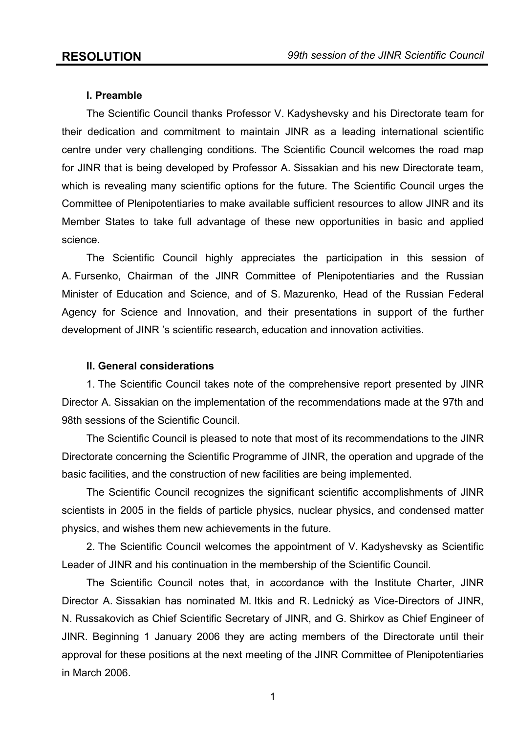## **I. Preamble**

 The Scientific Council thanks Professor V. Kadyshevsky and his Directorate team for their dedication and commitment to maintain JINR as a leading international scientific centre under very challenging conditions. The Scientific Council welcomes the road map for JINR that is being developed by Professor A. Sissakian and his new Directorate team, which is revealing many scientific options for the future. The Scientific Council urges the Committee of Plenipotentiaries to make available sufficient resources to allow JINR and its Member States to take full advantage of these new opportunities in basic and applied science.

 The Scientific Council highly appreciates the participation in this session of A. Fursenko, Chairman of the JINR Committee of Plenipotentiaries and the Russian Minister of Education and Science, and of S. Mazurenko, Head of the Russian Federal Agency for Science and Innovation, and their presentations in support of the further development of JINR 's scientific research, education and innovation activities.

## **II. General considerations**

 1. The Scientific Council takes note of the comprehensive report presented by JINR Director A. Sissakian on the implementation of the recommendations made at the 97th and 98th sessions of the Scientific Council.

 The Scientific Council is pleased to note that most of its recommendations to the JINR Directorate concerning the Scientific Programme of JINR, the operation and upgrade of the basic facilities, and the construction of new facilities are being implemented.

 The Scientific Council recognizes the significant scientific accomplishments of JINR scientists in 2005 in the fields of particle physics, nuclear physics, and condensed matter physics, and wishes them new achievements in the future.

 2. The Scientific Council welcomes the appointment of V. Kadyshevsky as Scientific Leader of JINR and his continuation in the membership of the Scientific Council.

 The Scientific Council notes that, in accordance with the Institute Charter, JINR Director A. Sissakian has nominated M. Itkis and R. Lednický as Vice-Directors of JINR, N. Russakovich as Chief Scientific Secretary of JINR, and G. Shirkov as Chief Engineer of JINR. Beginning 1 January 2006 they are acting members of the Directorate until their approval for these positions at the next meeting of the JINR Committee of Plenipotentiaries in March 2006.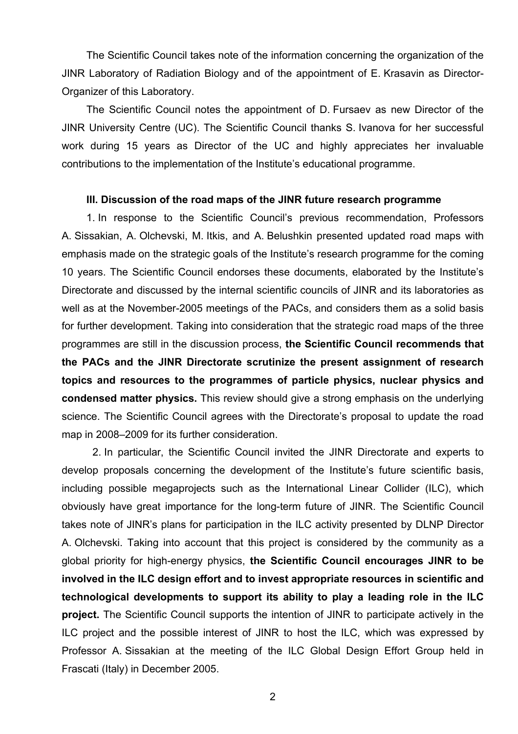The Scientific Council takes note of the information concerning the organization of the JINR Laboratory of Radiation Biology and of the appointment of E. Krasavin as Director-Organizer of this Laboratory.

 The Scientific Council notes the appointment of D. Fursaev as new Director of the JINR University Centre (UC). The Scientific Council thanks S. Ivanova for her successful work during 15 years as Director of the UC and highly appreciates her invaluable contributions to the implementation of the Institute's educational programme.

#### **III. Discussion of the road maps of the JINR future research programme**

1. In response to the Scientific Council's previous recommendation, Professors A. Sissakian, A. Olchevski, M. Itkis, and A. Belushkin presented updated road maps with emphasis made on the strategic goals of the Institute's research programme for the coming 10 years. The Scientific Council endorses these documents, elaborated by the Institute's Directorate and discussed by the internal scientific councils of JINR and its laboratories as well as at the November-2005 meetings of the PACs, and considers them as a solid basis for further development. Taking into consideration that the strategic road maps of the three programmes are still in the discussion process, **the Scientific Council recommends that the PACs and the JINR Directorate scrutinize the present assignment of research topics and resources to the programmes of particle physics, nuclear physics and condensed matter physics.** This review should give a strong emphasis on the underlying science. The Scientific Council agrees with the Directorate's proposal to update the road map in 2008–2009 for its further consideration.

2. In particular, the Scientific Council invited the JINR Directorate and experts to develop proposals concerning the development of the Institute's future scientific basis, including possible megaprojects such as the International Linear Collider (ILC), which obviously have great importance for the long-term future of JINR. The Scientific Council takes note of JINR's plans for participation in the ILC activity presented by DLNP Director A. Olchevski. Taking into account that this project is considered by the community as a global priority for high-energy physics, **the Scientific Council encourages JINR to be involved in the ILC design effort and to invest appropriate resources in scientific and technological developments to support its ability to play a leading role in the ILC project.** The Scientific Council supports the intention of JINR to participate actively in the ILC project and the possible interest of JINR to host the ILC, which was expressed by Professor A. Sissakian at the meeting of the ILC Global Design Effort Group held in Frascati (Italy) in December 2005.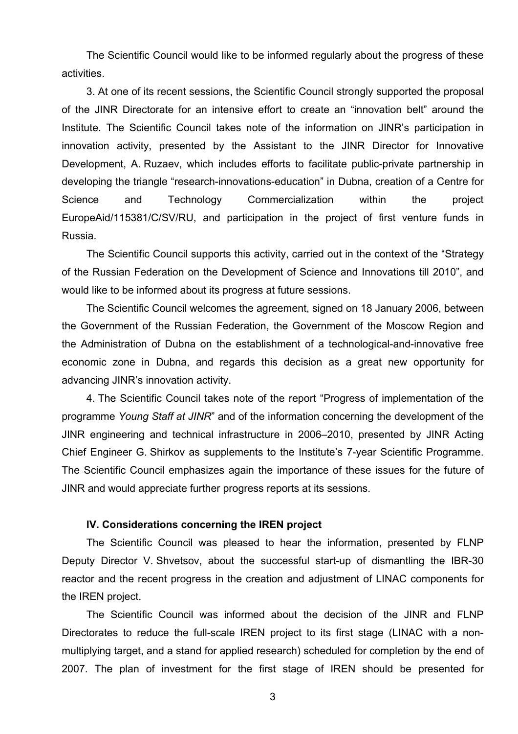The Scientific Council would like to be informed regularly about the progress of these activities.

3. At one of its recent sessions, the Scientific Council strongly supported the proposal of the JINR Directorate for an intensive effort to create an "innovation belt" around the Institute. The Scientific Council takes note of the information on JINR's participation in innovation activity, presented by the Assistant to the JINR Director for Innovative Development, A. Ruzaev, which includes efforts to facilitate public-private partnership in developing the triangle "research-innovations-education" in Dubna, creation of a Centre for Science and Technology Commercialization within the project EuropeAid/115381/C/SV/RU, and participation in the project of first venture funds in Russia.

The Scientific Council supports this activity, carried out in the context of the "Strategy of the Russian Federation on the Development of Science and Innovations till 2010", and would like to be informed about its progress at future sessions.

The Scientific Council welcomes the agreement, signed on 18 January 2006, between the Government of the Russian Federation, the Government of the Moscow Region and the Administration of Dubna on the establishment of a technological-and-innovative free economic zone in Dubna, and regards this decision as a great new opportunity for advancing JINR's innovation activity.

4. The Scientific Council takes note of the report "Progress of implementation of the programme *Young Staff at JINR*" and of the information concerning the development of the JINR engineering and technical infrastructure in 2006–2010, presented by JINR Acting Chief Engineer G. Shirkov as supplements to the Institute's 7-year Scientific Programme. The Scientific Council emphasizes again the importance of these issues for the future of JINR and would appreciate further progress reports at its sessions.

## **IV. Considerations concerning the IREN project**

The Scientific Council was pleased to hear the information, presented by FLNP Deputy Director V. Shvetsov, about the successful start-up of dismantling the IBR-30 reactor and the recent progress in the creation and adjustment of LINAC components for the IREN project.

The Scientific Council was informed about the decision of the JINR and FLNP Directorates to reduce the full-scale IREN project to its first stage (LINAC with a nonmultiplying target, and a stand for applied research) scheduled for completion by the end of 2007. The plan of investment for the first stage of IREN should be presented for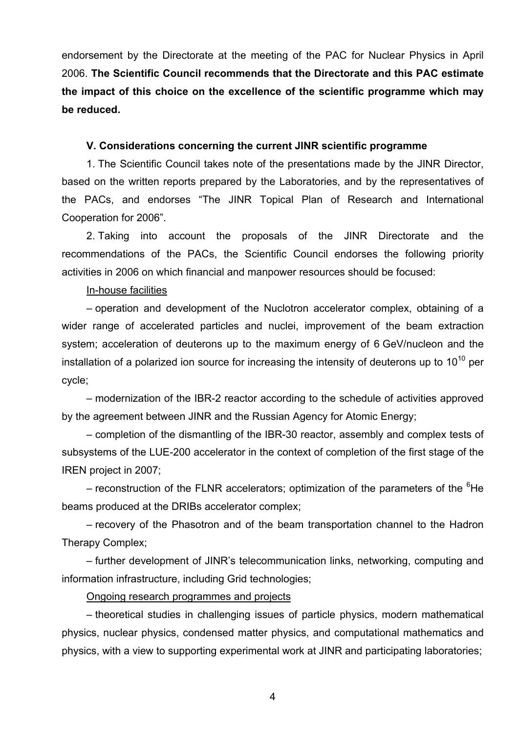endorsement by the Directorate at the meeting of the PAC for Nuclear Physics in April 2006. **The Scientific Council recommends that the Directorate and this PAC estimate the impact of this choice on the excellence of the scientific programme which may be reduced.** 

## **V. Considerations concerning the current JINR scientific programme**

 1. The Scientific Council takes note of the presentations made by the JINR Director, based on the written reports prepared by the Laboratories, and by the representatives of the PACs, and endorses "The JINR Topical Plan of Research and International Cooperation for 2006".

2. Taking into account the proposals of the JINR Directorate and the recommendations of the PACs, the Scientific Council endorses the following priority activities in 2006 on which financial and manpower resources should be focused:

## In-house facilities

– operation and development of the Nuclotron accelerator complex, obtaining of a wider range of accelerated particles and nuclei, improvement of the beam extraction system; acceleration of deuterons up to the maximum energy of 6 GeV/nucleon and the installation of a polarized ion source for increasing the intensity of deuterons up to  $10^{10}$  per cycle;

– modernization of the IBR-2 reactor according to the schedule of activities approved by the agreement between JINR and the Russian Agency for Atomic Energy;

– completion of the dismantling of the IBR-30 reactor, assembly and complex tests of subsystems of the LUE-200 accelerator in the context of completion of the first stage of the IREN project in 2007;

– reconstruction of the FLNR accelerators; optimization of the parameters of the <sup>6</sup>He beams produced at the DRIBs accelerator complex;

– recovery of the Phasotron and of the beam transportation channel to the Hadron Therapy Complex;

– further development of JINR's telecommunication links, networking, computing and information infrastructure, including Grid technologies;

## Ongoing research programmes and projects

– theoretical studies in challenging issues of particle physics, modern mathematical physics, nuclear physics, condensed matter physics, and computational mathematics and physics, with a view to supporting experimental work at JINR and participating laboratories;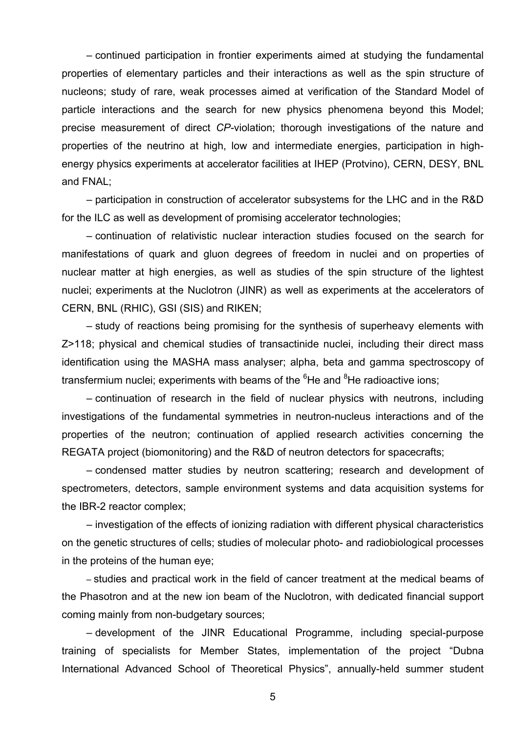– continued participation in frontier experiments aimed at studying the fundamental properties of elementary particles and their interactions as well as the spin structure of nucleons; study of rare, weak processes aimed at verification of the Standard Model of particle interactions and the search for new physics phenomena beyond this Model; precise measurement of direct *CP-*violation; thorough investigations of the nature and properties of the neutrino at high, low and intermediate energies, participation in highenergy physics experiments at accelerator facilities at IHEP (Protvino), CERN, DESY, BNL and FNAL;

– participation in construction of accelerator subsystems for the LHC and in the R&D for the ILC as well as development of promising accelerator technologies;

– continuation of relativistic nuclear interaction studies focused on the search for manifestations of quark and gluon degrees of freedom in nuclei and on properties of nuclear matter at high energies, as well as studies of the spin structure of the lightest nuclei; experiments at the Nuclotron (JINR) as well as experiments at the accelerators of CERN, BNL (RHIC), GSI (SIS) and RIKEN;

– study of reactions being promising for the synthesis of superheavy elements with Z>118; physical and chemical studies of transactinide nuclei, including their direct mass identification using the MASHA mass analyser; alpha, beta and gamma spectroscopy of transfermium nuclei; experiments with beams of the <sup>6</sup>He and <sup>8</sup>He radioactive ions;

– continuation of research in the field of nuclear physics with neutrons, including investigations of the fundamental symmetries in neutron-nucleus interactions and of the properties of the neutron; continuation of applied research activities concerning the REGATA project (biomonitoring) and the R&D of neutron detectors for spacecrafts;

– condensed matter studies by neutron scattering; research and development of spectrometers, detectors, sample environment systems and data acquisition systems for the IBR-2 reactor complex;

– investigation of the effects of ionizing radiation with different physical characteristics on the genetic structures of cells; studies of molecular photo- and radiobiological processes in the proteins of the human eye;

– studies and practical work in the field of cancer treatment at the medical beams of the Phasotron and at the new ion beam of the Nuclotron, with dedicated financial support coming mainly from non-budgetary sources;

– development of the JINR Educational Programme, including special-purpose training of specialists for Member States, implementation of the project "Dubna International Advanced School of Theoretical Physics", annually-held summer student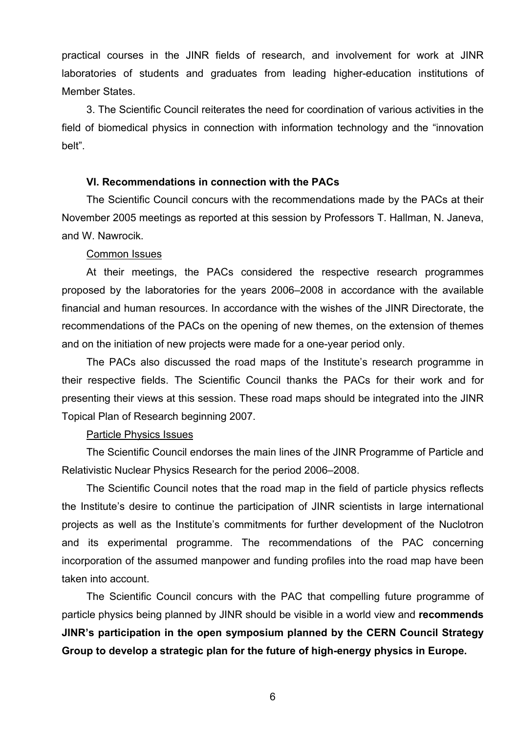practical courses in the JINR fields of research, and involvement for work at JINR laboratories of students and graduates from leading higher-education institutions of Member States.

3. The Scientific Council reiterates the need for coordination of various activities in the field of biomedical physics in connection with information technology and the "innovation belt".

#### **VI. Recommendations in connection with the PACs**

The Scientific Council concurs with the recommendations made by the PACs at their November 2005 meetings as reported at this session by Professors T. Hallman, N. Janeva, and W. Nawrocik.

#### Common Issues

At their meetings, the PACs considered the respective research programmes proposed by the laboratories for the years 2006–2008 in accordance with the available financial and human resources. In accordance with the wishes of the JINR Directorate, the recommendations of the PACs on the opening of new themes, on the extension of themes and on the initiation of new projects were made for a one-year period only.

The PACs also discussed the road maps of the Institute's research programme in their respective fields. The Scientific Council thanks the PACs for their work and for presenting their views at this session. These road maps should be integrated into the JINR Topical Plan of Research beginning 2007.

## Particle Physics Issues

The Scientific Council endorses the main lines of the JINR Programme of Particle and Relativistic Nuclear Physics Research for the period 2006–2008.

The Scientific Council notes that the road map in the field of particle physics reflects the Institute's desire to continue the participation of JINR scientists in large international projects as well as the Institute's commitments for further development of the Nuclotron and its experimental programme. The recommendations of the PAC concerning incorporation of the assumed manpower and funding profiles into the road map have been taken into account.

The Scientific Council concurs with the PAC that compelling future programme of particle physics being planned by JINR should be visible in a world view and **recommends JINR's participation in the open symposium planned by the CERN Council Strategy Group to develop a strategic plan for the future of high-energy physics in Europe.**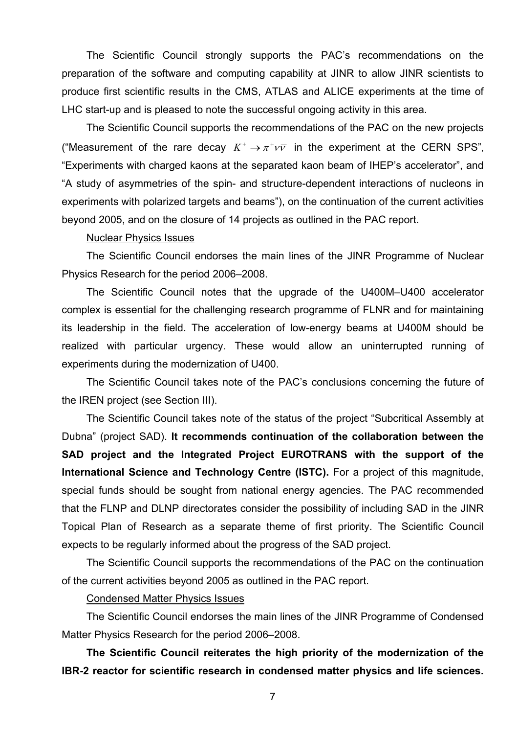The Scientific Council strongly supports the PAC's recommendations on the preparation of the software and computing capability at JINR to allow JINR scientists to produce first scientific results in the CMS, ATLAS and ALICE experiments at the time of LHC start-up and is pleased to note the successful ongoing activity in this area.

The Scientific Council supports the recommendations of the PAC on the new projects ("Measurement of the rare decay  $K^+ \rightarrow \pi^+ \nu \bar{\nu}$  in the experiment at the CERN SPS", "Experiments with charged kaons at the separated kaon beam of IHEP's accelerator", and "A study of asymmetries of the spin- and structure-dependent interactions of nucleons in experiments with polarized targets and beams"), on the continuation of the current activities beyond 2005, and on the closure of 14 projects as outlined in the PAC report.

#### Nuclear Physics Issues

The Scientific Council endorses the main lines of the JINR Programme of Nuclear Physics Research for the period 2006–2008.

The Scientific Council notes that the upgrade of the U400M–U400 accelerator complex is essential for the challenging research programme of FLNR and for maintaining its leadership in the field. The acceleration of low-energy beams at U400M should be realized with particular urgency. These would allow an uninterrupted running of experiments during the modernization of U400.

The Scientific Council takes note of the PAC's conclusions concerning the future of the IREN project (see Section III).

The Scientific Council takes note of the status of the project "Subcritical Assembly at Dubna" (project SAD). **It recommends continuation of the collaboration between the SAD project and the Integrated Project EUROTRANS with the support of the International Science and Technology Centre (ISTC).** For a project of this magnitude, special funds should be sought from national energy agencies. The PAC recommended that the FLNP and DLNP directorates consider the possibility of including SAD in the JINR Topical Plan of Research as a separate theme of first priority. The Scientific Council expects to be regularly informed about the progress of the SAD project.

The Scientific Council supports the recommendations of the PAC on the continuation of the current activities beyond 2005 as outlined in the PAC report.

#### Condensed Matter Physics Issues

The Scientific Council endorses the main lines of the JINR Programme of Condensed Matter Physics Research for the period 2006–2008.

**The Scientific Council reiterates the high priority of the modernization of the IBR-2 reactor for scientific research in condensed matter physics and life sciences.**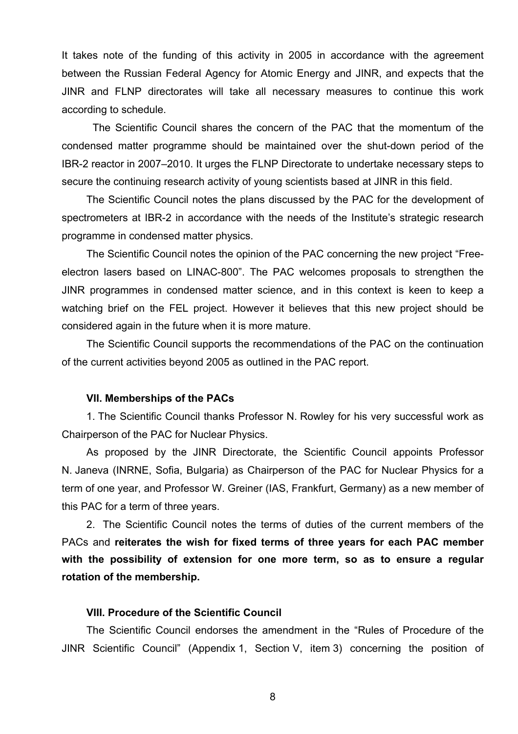It takes note of the funding of this activity in 2005 in accordance with the agreement between the Russian Federal Agency for Atomic Energy and JINR, and expects that the JINR and FLNP directorates will take all necessary measures to continue this work according to schedule.

The Scientific Council shares the concern of the PAC that the momentum of the condensed matter programme should be maintained over the shut-down period of the IBR-2 reactor in 2007–2010. It urges the FLNP Directorate to undertake necessary steps to secure the continuing research activity of young scientists based at JINR in this field.

The Scientific Council notes the plans discussed by the PAC for the development of spectrometers at IBR-2 in accordance with the needs of the Institute's strategic research programme in condensed matter physics.

The Scientific Council notes the opinion of the PAC concerning the new project "Freeelectron lasers based on LINAC-800". The PAC welcomes proposals to strengthen the JINR programmes in condensed matter science, and in this context is keen to keep a watching brief on the FEL project. However it believes that this new project should be considered again in the future when it is more mature.

The Scientific Council supports the recommendations of the PAC on the continuation of the current activities beyond 2005 as outlined in the PAC report.

## **VII. Memberships of the PACs**

1. The Scientific Council thanks Professor N. Rowley for his very successful work as Chairperson of the PAC for Nuclear Physics.

As proposed by the JINR Directorate, the Scientific Council appoints Professor N. Janeva (INRNE, Sofia, Bulgaria) as Chairperson of the PAC for Nuclear Physics for a term of one year, and Professor W. Greiner (IAS, Frankfurt, Germany) as a new member of this PAC for a term of three years.

2. The Scientific Council notes the terms of duties of the current members of the PACs and **reiterates the wish for fixed terms of three years for each PAC member with the possibility of extension for one more term, so as to ensure a regular rotation of the membership.**

## **VIII. Procedure of the Scientific Council**

The Scientific Council endorses the amendment in the "Rules of Procedure of the JINR Scientific Council" (Appendix 1, Section V, item 3) concerning the position of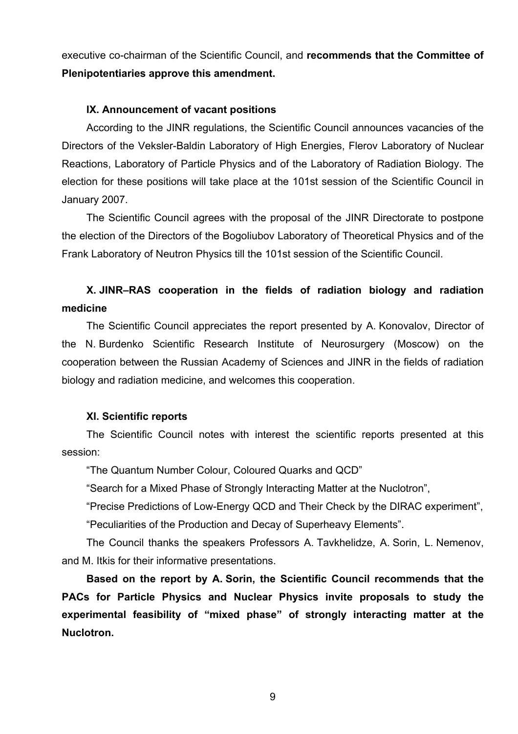executive co-chairman of the Scientific Council, and **recommends that the Committee of Plenipotentiaries approve this amendment.** 

## **IX. Announcement of vacant positions**

According to the JINR regulations, the Scientific Council announces vacancies of the Directors of the Veksler-Baldin Laboratory of High Energies, Flerov Laboratory of Nuclear Reactions, Laboratory of Particle Physics and of the Laboratory of Radiation Biology. The election for these positions will take place at the 101st session of the Scientific Council in January 2007.

The Scientific Council agrees with the proposal of the JINR Directorate to postpone the election of the Directors of the Bogoliubov Laboratory of Theoretical Physics and of the Frank Laboratory of Neutron Physics till the 101st session of the Scientific Council.

# **X. JINR–RAS cooperation in the fields of radiation biology and radiation medicine**

The Scientific Council appreciates the report presented by A. Konovalov, Director of the N. Burdenko Scientific Research Institute of Neurosurgery (Moscow) on the cooperation between the Russian Academy of Sciences and JINR in the fields of radiation biology and radiation medicine, and welcomes this cooperation.

## **XI. Scientific reports**

The Scientific Council notes with interest the scientific reports presented at this session:

"The Quantum Number Colour, Coloured Quarks and QCD"

"Search for a Mixed Phase of Strongly Interacting Matter at the Nuclotron",

"Precise Predictions of Low-Energy QCD and Their Check by the DIRAC experiment",

"Peculiarities of the Production and Decay of Superheavy Elements".

The Council thanks the speakers Professors A. Tavkhelidze, A. Sorin, L. Nemenov, and M. Itkis for their informative presentations.

**Based on the report by A. Sorin, the Scientific Council recommends that the PACs for Particle Physics and Nuclear Physics invite proposals to study the experimental feasibility of "mixed phase" of strongly interacting matter at the Nuclotron.**